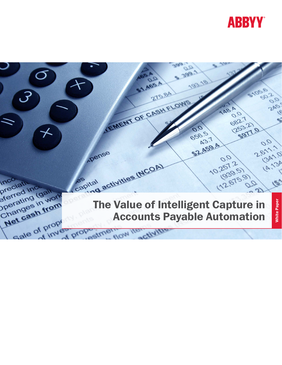

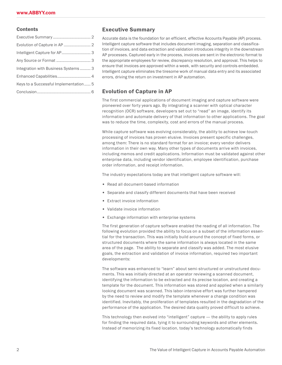#### **Contents**

| Intelligent Capture for AP 3          |  |
|---------------------------------------|--|
|                                       |  |
| Integration with Business Systems 3   |  |
|                                       |  |
| Keys to a Successful Implementation 5 |  |
|                                       |  |
|                                       |  |

### Executive Summary

Accurate data is the foundation for an efficient, effective Accounts Payable (AP) process. Intelligent capture software that includes document imaging, separation and classification of invoices, and data extraction and validation introduces integrity in the downstream AP processes. Captured early in the process, invoices are sent in the electronic format to the appropriate employees for review, discrepancy resolution, and approval. This helps to ensure that invoices are approved within a week, with security and controls embedded. Intelligent capture eliminates the tiresome work of manual data entry and its associated errors, driving the return on investment in AP automation.

### Evolution of Capture in AP

The first commercial applications of document imaging and capture software were pioneered over forty years ago. By integrating a scanner with optical character recognition (OCR) software, developers set out to "read" an image, identify its information and automate delivery of that information to other applications. The goal was to reduce the time, complexity, cost and errors of the manual process.

While capture software was evolving considerably, the ability to achieve low-touch processing of invoices has proven elusive. Invoices present specific challenges, among them: There is no standard format for an invoice; every vendor delivers information in their own way. Many other types of documents arrive with invoices, including memos and credit applications. Information must be validated against other enterprise data, including vendor identification, employee identification, purchase order information, and receipt information.

The industry expectations today are that intelligent capture software will:

- Read all document-based information
- Separate and classify different documents that have been received
- Extract invoice information
- Validate invoice information
- Exchange information with enterprise systems

The first generation of capture software enabled the reading of all information. The following evolution provided the ability to focus on a subset of the information essential for the transaction. This was initially build around the concept of fixed forms, or structured documents where the same information is always located in the same area of the page. The ability to separate and classify was added. The most elusive goals, the extraction and validation of invoice information, required two important developments:

The software was enhanced to "learn" about semi-structured or unstructured documents. This was initially directed at an operator reviewing a scanned document, identifying the information to be extracted and its precise location, and creating a template for the document. This information was stored and applied when a similarly looking document was scanned. This labor-intensive effort was further hampered by the need to review and modify the template whenever a change condition was identified. Inevitably, the proliferation of templates resulted in the degradation of the performance of the application. The desired data quality proved difficult to achieve.

This technology then evolved into "intelligent" capture — the ability to apply rules for finding the required data, tying it to surrounding keywords and other elements. Instead of memorizing its fixed location, today's technology automatically finds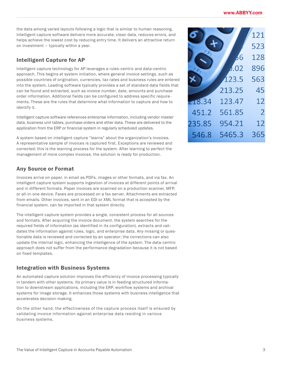<span id="page-2-0"></span>the data among varied layouts following a logic that is similar to human reasoning. Intelligent capture software delivers more accurate, clean data, reduces errors, and helps achieve the lowest cost by reducing entry time. It delivers an attractive return on investment – typically within a year.

## Intelligent Capture for AP

Intelligent capture technology for AP leverages a rules-centric and data-centric approach. This begins at system initiation, where general invoice settings, such as possible countries of origination, currencies, tax rates and business rules are entered into the system. Leading software typically provides a set of standard data fields that can be found and extracted, such as invoice number, date, amounts and purchase order information. Additional fields can be configured to address specific requirements. These are the rules that determine what information to capture and how to identify it.

Intelligent capture software references enterprise information, including vendor master data, business unit tables, purchase orders and other data. These are delivered to the application from the ERP or financial system in regularly scheduled updates.

A system based on intelligent capture "learns" about the organization's invoices. A representative sample of invoices is captured first. Exceptions are reviewed and corrected; this is the learning process for the system. After learning to perfect the management of more complex invoices, the solution is ready for production.

## Any Source or Format

Invoices arrive on paper, in email as PDFs, images or other formats, and via fax. An intelligent capture system supports ingestion of invoices at different points of arrival and in different formats. Paper invoices are scanned on a production scanner, MFP, or all-in-one device. Faxes are processed on a fax server. Attachments are extracted from emails. Other invoices, sent in an EDI or XML format that is accepted by the financial system, can be imported in that system directly.

The intelligent capture system provides a single, consistent process for all sources and formats. After acquiring the invoice document, the system searches for the required fields of information (as identified in its configuration), extracts and validates the information against rules, logic, and enterprise data. Any missing or questionable data is reviewed and corrected by an operator; the corrections can also update the internal logic, enhancing the intelligence of the system. The data-centric approach does not suffer from the performance degradation because it is not based on fixed templates.

# Integration with Business Systems

An automated capture solution improves the efficiency of invoice processing typically in tandem with other systems. Its primary value is in feeding structured information to downstream applications, including the ERP, workflow systems and archival systems for image storage. It enhances those systems with business intelligence that accelerates decision-making.

On the other hand, the effectiveness of the capture process itself is ensured by validating invoice information against enterprise data residing in various business systems.

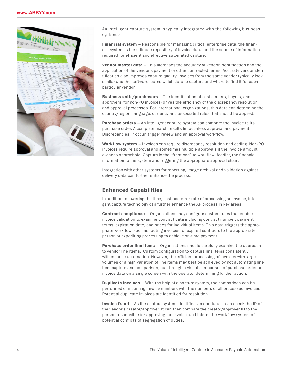<span id="page-3-0"></span>

An intelligent capture system is typically integrated with the following business systems:

Financial system – Responsible for managing critical enterprise data, the financial system is the ultimate repository of invoice data, and the source of information required for efficient and effective automated capture.

Vendor master data – This increases the accuracy of vendor identification and the application of the vendor's payment or other contracted terms. Accurate vendor identification also improves capture quality; invoices from the same vendor typically look similar and the software learns which data to capture and where to find it for each particular vendor.

Business units/purchasers - The identification of cost centers, buyers, and approvers (for non-PO invoices) drives the efficiency of the discrepancy resolution and approval processes. For international organizations, this data can determine the country/region, language, currency and associated rules that should be applied.

Purchase orders - An intelligent capture system can compare the invoice to its purchase order. A complete match results in touchless approval and payment. Discrepancies, if occur, trigger review and an approval workflow.

Workflow system – Invoices can require discrepancy resolution and coding. Non-PO invoices require approval and sometimes multiple approvals if the invoice amount exceeds a threshold. Capture is the "front end" to workflow, feeding the financial information to the system and triggering the appropriate approval chain.

Integration with other systems for reporting, image archival and validation against delivery data can further enhance the process.

## Enhanced Capabilities

In addition to lowering the time, cost and error rate of processing an invoice, intelligent capture technology can further enhance the AP process in key areas:

**Contract compliance** – Organizations may configure custom rules that enable invoice validation to examine contract data including contract number, payment terms, expiration date, and prices for individual items. This data triggers the appropriate workflow, such as routing invoices for expired contracts to the appropriate person or expediting processing to achieve on-time payment.

**Purchase order line items** – Organizations should carefully examine the approach to vendor line items. Custom configuration to capture line items consistently will enhance automation. However, the efficient processing of invoices with large volumes or a high variation of line items may best be achieved by not automating line item capture and comparison, but through a visual comparison of purchase order and invoice data on a single screen with the operator determining further action.

**Duplicate invoices** – With the help of a capture system, the comparison can be performed of incoming invoice numbers with the numbers of all processed invoices. Potential duplicate invoices are identified for resolution.

Invoice fraud – As the capture system identifies vendor data, it can check the ID of the vendor's creator/approver. It can then compare the creator/approver ID to the person responsible for approving the invoice, and inform the workflow system of potential conflicts of segregation of duties.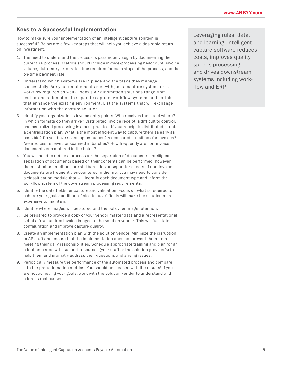## <span id="page-4-0"></span>Keys to a Successful Implementation

How to make sure your implementation of an intelligent capture solution is successful? Below are a few key steps that will help you achieve a desirable return on investment.

- 1. The need to understand the process is paramount. Begin by documenting the current AP process. Metrics should include invoice-processing headcount, invoice volume, data-entry error rate, time required for each stage of the process, and the on-time payment rate.
- 2. Understand which systems are in place and the tasks they manage successfully. Are your requirements met with just a capture system, or is workflow required as well? Today's AP automation solutions range from end-to-end automation to separate capture, workflow systems and portals that enhance the existing environment. List the systems that will exchange information with the capture solution.
- 3. Identify your organization's invoice entry points. Who receives them and where? In which formats do they arrive? Distributed invoice receipt is difficult to control, and centralized processing is a best practice. If your receipt is distributed, create a centralization plan. What is the most efficient way to capture them as early as possible? Do you have scanning resources? A dedicated e-mail box for invoices? Are invoices received or scanned in batches? How frequently are non-invoice documents encountered in the batch?
- 4. You will need to define a process for the separation of documents. Intelligent separation of documents based on their contents can be performed; however, the most robust methods are still barcodes or separator sheets. If non-invoice documents are frequently encountered in the mix, you may need to consider a classification module that will identify each document type and inform the workflow system of the downstream processing requirements.
- 5. Identify the data fields for capture and validation. Focus on what is required to achieve your goals; additional "nice to have" fields will make the solution more expensive to maintain.
- 6. Identify where images will be stored and the policy for image retention.
- 7. Be prepared to provide a copy of your vendor master data and a representational set of a few hundred invoice images to the solution vendor. This will facilitate configuration and improve capture quality.
- 8. Create an implementation plan with the solution vendor. Minimize the disruption to AP staff and ensure that the implementation does not prevent them from meeting their daily responsibilities. Schedule appropriate training and plan for an adoption period with support resources (your staff or the solution provider's) to help them and promptly address their questions and arising issues.
- 9. Periodically measure the performance of the automated process and compare it to the pre-automation metrics. You should be pleased with the results! If you are not achieving your goals, work with the solution vendor to understand and address root causes.

Leveraging rules, data, and learning, intelligent capture software reduces costs, improves quality, speeds processing, and drives downstream systems including workflow and ERP